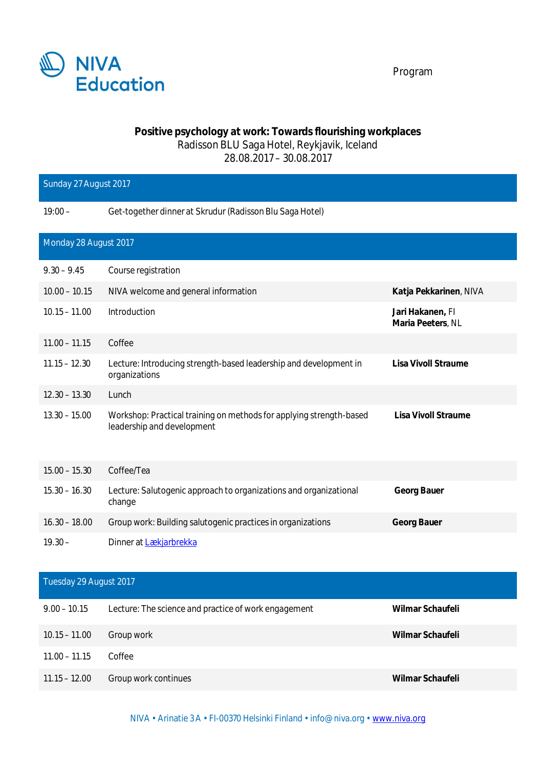

## **Positive psychology at work: Towards flourishing workplaces** Radisson BLU Saga Hotel, Reykjavik, Iceland 28.08.2017 – 30.08.2017

| Sunday 27 August 2017  |                                                                                                   |                                       |  |  |
|------------------------|---------------------------------------------------------------------------------------------------|---------------------------------------|--|--|
| $19:00 -$              | Get-together dinner at Skrudur (Radisson Blu Saga Hotel)                                          |                                       |  |  |
| Monday 28 August 2017  |                                                                                                   |                                       |  |  |
| $9.30 - 9.45$          | Course registration                                                                               |                                       |  |  |
| $10.00 - 10.15$        | NIVA welcome and general information                                                              | Katja Pekkarinen, NIVA                |  |  |
| $10.15 - 11.00$        | Introduction                                                                                      | Jari Hakanen, Fl<br>Maria Peeters, NL |  |  |
| $11.00 - 11.15$        | Coffee                                                                                            |                                       |  |  |
| $11.15 - 12.30$        | Lecture: Introducing strength-based leadership and development in<br>organizations                | Lisa Vivoll Straume                   |  |  |
| $12.30 - 13.30$        | Lunch                                                                                             |                                       |  |  |
| $13.30 - 15.00$        | Workshop: Practical training on methods for applying strength-based<br>leadership and development | Lisa Vivoll Straume                   |  |  |
| $15.00 - 15.30$        | Coffee/Tea                                                                                        |                                       |  |  |
| $15.30 - 16.30$        | Lecture: Salutogenic approach to organizations and organizational<br>change                       | Georg Bauer                           |  |  |
| $16.30 - 18.00$        | Group work: Building salutogenic practices in organizations                                       | Georg Bauer                           |  |  |
| $19.30 -$              | Dinner at Lækjarbrekka                                                                            |                                       |  |  |
| Tuesday 29 August 2017 |                                                                                                   |                                       |  |  |
| $9.00 - 10.15$         | Lecture: The science and practice of work engagement                                              | Wilmar Schaufeli                      |  |  |
| $10.15 - 11.00$        | Group work                                                                                        | Wilmar Schaufeli                      |  |  |
| $11.00 - 11.15$        | Coffee                                                                                            |                                       |  |  |
| $11.15 - 12.00$        | Group work continues                                                                              | Wilmar Schaufeli                      |  |  |